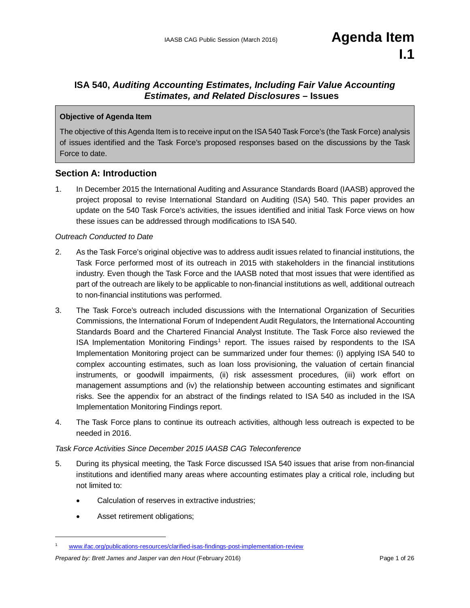# **ISA 540,** *Auditing Accounting Estimates, Including Fair Value Accounting Estimates, and Related Disclosures* **– Issues**

# **Objective of Agenda Item**

The objective of this Agenda Item is to receive input on the ISA 540 Task Force's (the Task Force) analysis of issues identified and the Task Force's proposed responses based on the discussions by the Task Force to date.

# **Section A: Introduction**

1. In December 2015 the International Auditing and Assurance Standards Board (IAASB) approved the project proposal to revise International Standard on Auditing (ISA) 540. This paper provides an update on the 540 Task Force's activities, the issues identified and initial Task Force views on how these issues can be addressed through modifications to ISA 540.

## *Outreach Conducted to Date*

- 2. As the Task Force's original objective was to address audit issues related to financial institutions, the Task Force performed most of its outreach in 2015 with stakeholders in the financial institutions industry. Even though the Task Force and the IAASB noted that most issues that were identified as part of the outreach are likely to be applicable to non-financial institutions as well, additional outreach to non-financial institutions was performed.
- 3. The Task Force's outreach included discussions with the International Organization of Securities Commissions, the International Forum of Independent Audit Regulators, the International Accounting Standards Board and the Chartered Financial Analyst Institute. The Task Force also reviewed the ISA Implementation Monitoring Findings<sup>[1](#page-0-0)</sup> report. The issues raised by respondents to the ISA Implementation Monitoring project can be summarized under four themes: (i) applying ISA 540 to complex accounting estimates, such as loan loss provisioning, the valuation of certain financial instruments, or goodwill impairments, (ii) risk assessment procedures, (iii) work effort on management assumptions and (iv) the relationship between accounting estimates and significant risks. See the appendix for an abstract of the findings related to ISA 540 as included in the ISA Implementation Monitoring Findings report.
- 4. The Task Force plans to continue its outreach activities, although less outreach is expected to be needed in 2016.

## *Task Force Activities Since December 2015 IAASB CAG Teleconference*

- 5. During its physical meeting, the Task Force discussed ISA 540 issues that arise from non-financial institutions and identified many areas where accounting estimates play a critical role, including but not limited to:
	- Calculation of reserves in extractive industries;
	- Asset retirement obligations;

 $\overline{a}$ 

#### *Prepared by: Brett James and Jasper van den Hout* (February 2016) Page 1 of 26 Page 1 of 26

<span id="page-0-0"></span>www.ifac.org/publications-resources/clarified-isas-findings-post-implementation-review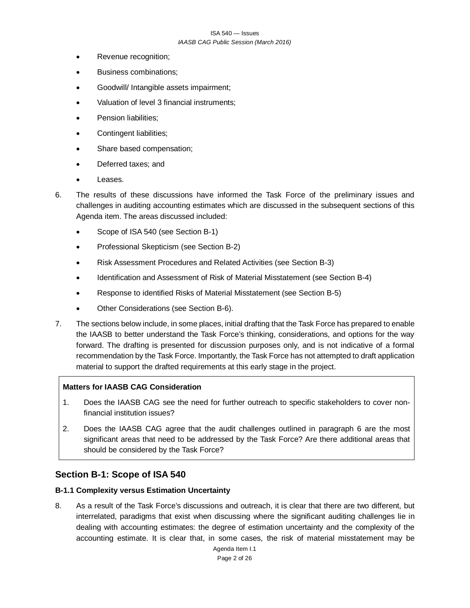- Revenue recognition;
- Business combinations;
- Goodwill/ Intangible assets impairment;
- Valuation of level 3 financial instruments;
- Pension liabilities;
- Contingent liabilities;
- Share based compensation;
- Deferred taxes; and
- Leases.
- 6. The results of these discussions have informed the Task Force of the preliminary issues and challenges in auditing accounting estimates which are discussed in the subsequent sections of this Agenda item. The areas discussed included:
	- Scope of ISA 540 (see Section B-1)
	- Professional Skepticism (see Section B-2)
	- Risk Assessment Procedures and Related Activities (see Section B-3)
	- Identification and Assessment of Risk of Material Misstatement (see Section B-4)
	- Response to identified Risks of Material Misstatement (see Section B-5)
	- Other Considerations (see Section B-6).
- 7. The sections below include, in some places, initial drafting that the Task Force has prepared to enable the IAASB to better understand the Task Force's thinking, considerations, and options for the way forward. The drafting is presented for discussion purposes only, and is not indicative of a formal recommendation by the Task Force. Importantly, the Task Force has not attempted to draft application material to support the drafted requirements at this early stage in the project.

## **Matters for IAASB CAG Consideration**

- 1. Does the IAASB CAG see the need for further outreach to specific stakeholders to cover nonfinancial institution issues?
- 2. Does the IAASB CAG agree that the audit challenges outlined in paragraph 6 are the most significant areas that need to be addressed by the Task Force? Are there additional areas that should be considered by the Task Force?

# **Section B-1: Scope of ISA 540**

## **B-1.1 Complexity versus Estimation Uncertainty**

8. As a result of the Task Force's discussions and outreach, it is clear that there are two different, but interrelated, paradigms that exist when discussing where the significant auditing challenges lie in dealing with accounting estimates: the degree of estimation uncertainty and the complexity of the accounting estimate. It is clear that, in some cases, the risk of material misstatement may be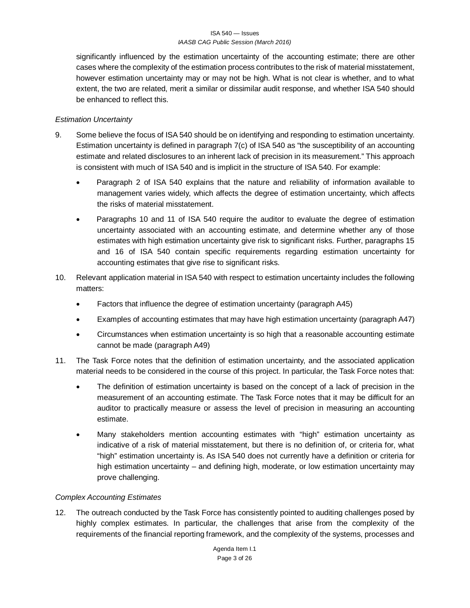significantly influenced by the estimation uncertainty of the accounting estimate; there are other cases where the complexity of the estimation process contributes to the risk of material misstatement, however estimation uncertainty may or may not be high. What is not clear is whether, and to what extent, the two are related, merit a similar or dissimilar audit response, and whether ISA 540 should be enhanced to reflect this.

# *Estimation Uncertainty*

- 9. Some believe the focus of ISA 540 should be on identifying and responding to estimation uncertainty. Estimation uncertainty is defined in paragraph 7(c) of ISA 540 as "the susceptibility of an accounting estimate and related disclosures to an inherent lack of precision in its measurement." This approach is consistent with much of ISA 540 and is implicit in the structure of ISA 540. For example:
	- Paragraph 2 of ISA 540 explains that the nature and reliability of information available to management varies widely, which affects the degree of estimation uncertainty, which affects the risks of material misstatement.
	- Paragraphs 10 and 11 of ISA 540 require the auditor to evaluate the degree of estimation uncertainty associated with an accounting estimate, and determine whether any of those estimates with high estimation uncertainty give risk to significant risks. Further, paragraphs 15 and 16 of ISA 540 contain specific requirements regarding estimation uncertainty for accounting estimates that give rise to significant risks.
- 10. Relevant application material in ISA 540 with respect to estimation uncertainty includes the following matters:
	- Factors that influence the degree of estimation uncertainty (paragraph A45)
	- Examples of accounting estimates that may have high estimation uncertainty (paragraph A47)
	- Circumstances when estimation uncertainty is so high that a reasonable accounting estimate cannot be made (paragraph A49)
- 11. The Task Force notes that the definition of estimation uncertainty, and the associated application material needs to be considered in the course of this project. In particular, the Task Force notes that:
	- The definition of estimation uncertainty is based on the concept of a lack of precision in the measurement of an accounting estimate. The Task Force notes that it may be difficult for an auditor to practically measure or assess the level of precision in measuring an accounting estimate.
	- Many stakeholders mention accounting estimates with "high" estimation uncertainty as indicative of a risk of material misstatement, but there is no definition of, or criteria for, what "high" estimation uncertainty is. As ISA 540 does not currently have a definition or criteria for high estimation uncertainty – and defining high, moderate, or low estimation uncertainty may prove challenging.

# *Complex Accounting Estimates*

12. The outreach conducted by the Task Force has consistently pointed to auditing challenges posed by highly complex estimates. In particular, the challenges that arise from the complexity of the requirements of the financial reporting framework, and the complexity of the systems, processes and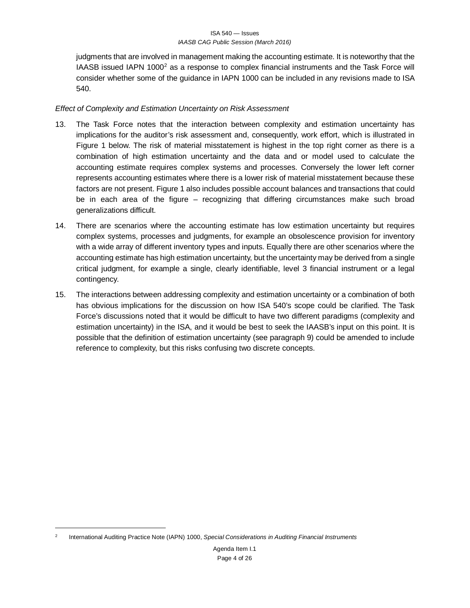judgments that are involved in management making the accounting estimate. It is noteworthy that the IAASB issued IAPN 1000[2](#page-3-0) as a response to complex financial instruments and the Task Force will consider whether some of the guidance in IAPN 1000 can be included in any revisions made to ISA 540.

## *Effect of Complexity and Estimation Uncertainty on Risk Assessment*

- 13. The Task Force notes that the interaction between complexity and estimation uncertainty has implications for the auditor's risk assessment and, consequently, work effort, which is illustrated in Figure 1 below. The risk of material misstatement is highest in the top right corner as there is a combination of high estimation uncertainty and the data and or model used to calculate the accounting estimate requires complex systems and processes. Conversely the lower left corner represents accounting estimates where there is a lower risk of material misstatement because these factors are not present. Figure 1 also includes possible account balances and transactions that could be in each area of the figure – recognizing that differing circumstances make such broad generalizations difficult.
- 14. There are scenarios where the accounting estimate has low estimation uncertainty but requires complex systems, processes and judgments, for example an obsolescence provision for inventory with a wide array of different inventory types and inputs. Equally there are other scenarios where the accounting estimate has high estimation uncertainty, but the uncertainty may be derived from a single critical judgment, for example a single, clearly identifiable, level 3 financial instrument or a legal contingency.
- 15. The interactions between addressing complexity and estimation uncertainty or a combination of both has obvious implications for the discussion on how ISA 540's scope could be clarified. The Task Force's discussions noted that it would be difficult to have two different paradigms (complexity and estimation uncertainty) in the ISA, and it would be best to seek the IAASB's input on this point. It is possible that the definition of estimation uncertainty (see paragraph 9) could be amended to include reference to complexity, but this risks confusing two discrete concepts.

<span id="page-3-0"></span><sup>2</sup> International Auditing Practice Note (IAPN) 1000, *Special Considerations in Auditing Financial Instruments*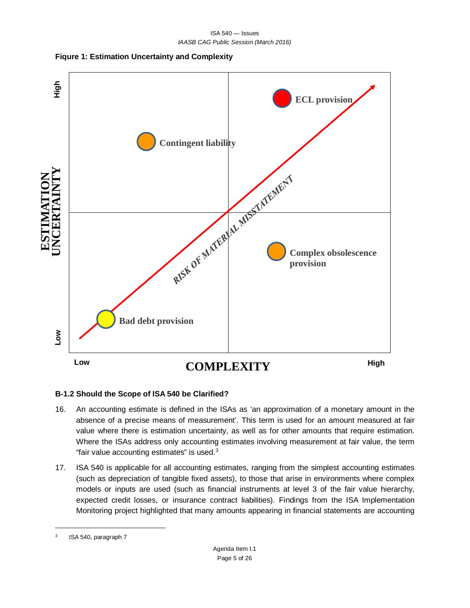



## **B-1.2 Should the Scope of ISA 540 be Clarified?**

- 16. An accounting estimate is defined in the ISAs as 'an approximation of a monetary amount in the absence of a precise means of measurement'. This term is used for an amount measured at fair value where there is estimation uncertainty, as well as for other amounts that require estimation. Where the ISAs address only accounting estimates involving measurement at fair value, the term "fair value accounting estimates" is used. $3$
- 17. ISA 540 is applicable for all accounting estimates, ranging from the simplest accounting estimates (such as depreciation of tangible fixed assets), to those that arise in environments where complex models or inputs are used (such as financial instruments at level 3 of the fair value hierarchy, expected credit losses, or insurance contract liabilities). Findings from the ISA Implementation Monitoring project highlighted that many amounts appearing in financial statements are accounting

<span id="page-4-0"></span><sup>&</sup>lt;sup>3</sup> ISA 540, paragraph 7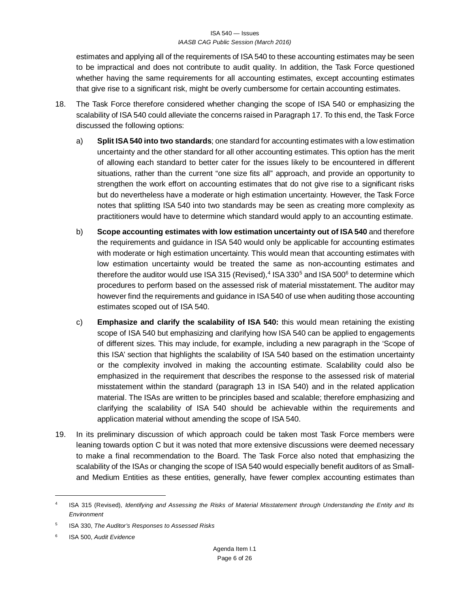estimates and applying all of the requirements of ISA 540 to these accounting estimates may be seen to be impractical and does not contribute to audit quality. In addition, the Task Force questioned whether having the same requirements for all accounting estimates, except accounting estimates that give rise to a significant risk, might be overly cumbersome for certain accounting estimates.

- 18. The Task Force therefore considered whether changing the scope of ISA 540 or emphasizing the scalability of ISA 540 could alleviate the concerns raised in Paragraph 17. To this end, the Task Force discussed the following options:
	- a) **Split ISA 540 into two standards**; one standard for accounting estimates with a low estimation uncertainty and the other standard for all other accounting estimates. This option has the merit of allowing each standard to better cater for the issues likely to be encountered in different situations, rather than the current "one size fits all" approach, and provide an opportunity to strengthen the work effort on accounting estimates that do not give rise to a significant risks but do nevertheless have a moderate or high estimation uncertainty. However, the Task Force notes that splitting ISA 540 into two standards may be seen as creating more complexity as practitioners would have to determine which standard would apply to an accounting estimate.
	- b) **Scope accounting estimates with low estimation uncertainty out of ISA 540** and therefore the requirements and guidance in ISA 540 would only be applicable for accounting estimates with moderate or high estimation uncertainty. This would mean that accounting estimates with low estimation uncertainty would be treated the same as non-accounting estimates and therefore the auditor would use ISA 31[5](#page-5-1) (Revised), $4$  ISA 330<sup>5</sup> and ISA 500 $^6$  to determine which procedures to perform based on the assessed risk of material misstatement. The auditor may however find the requirements and guidance in ISA 540 of use when auditing those accounting estimates scoped out of ISA 540.
	- c) **Emphasize and clarify the scalability of ISA 540:** this would mean retaining the existing scope of ISA 540 but emphasizing and clarifying how ISA 540 can be applied to engagements of different sizes. This may include, for example, including a new paragraph in the 'Scope of this ISA' section that highlights the scalability of ISA 540 based on the estimation uncertainty or the complexity involved in making the accounting estimate. Scalability could also be emphasized in the requirement that describes the response to the assessed risk of material misstatement within the standard (paragraph 13 in ISA 540) and in the related application material. The ISAs are written to be principles based and scalable; therefore emphasizing and clarifying the scalability of ISA 540 should be achievable within the requirements and application material without amending the scope of ISA 540.
- 19. In its preliminary discussion of which approach could be taken most Task Force members were leaning towards option C but it was noted that more extensive discussions were deemed necessary to make a final recommendation to the Board. The Task Force also noted that emphasizing the scalability of the ISAs or changing the scope of ISA 540 would especially benefit auditors of as Smalland Medium Entities as these entities, generally, have fewer complex accounting estimates than

<span id="page-5-0"></span><sup>4</sup> ISA 315 (Revised), *Identifying and Assessing the Risks of Material Misstatement through Understanding the Entity and Its Environment*

<span id="page-5-1"></span><sup>5</sup> ISA 330, *The Auditor's Responses to Assessed Risks*

<span id="page-5-2"></span><sup>6</sup> ISA 500, *Audit Evidence*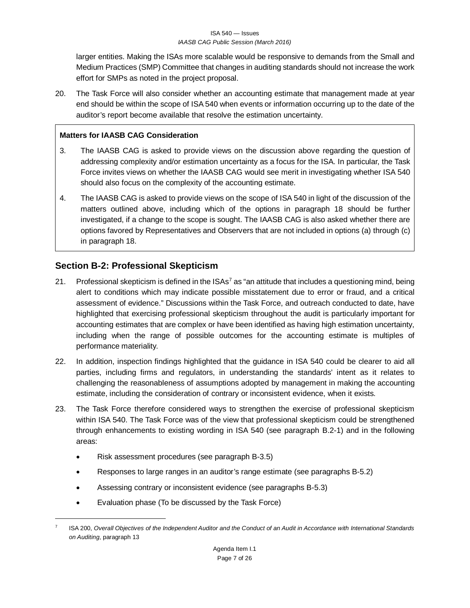larger entities. Making the ISAs more scalable would be responsive to demands from the Small and Medium Practices (SMP) Committee that changes in auditing standards should not increase the work effort for SMPs as noted in the project proposal.

20. The Task Force will also consider whether an accounting estimate that management made at year end should be within the scope of ISA 540 when events or information occurring up to the date of the auditor's report become available that resolve the estimation uncertainty.

# **Matters for IAASB CAG Consideration**

- 3. The IAASB CAG is asked to provide views on the discussion above regarding the question of addressing complexity and/or estimation uncertainty as a focus for the ISA. In particular, the Task Force invites views on whether the IAASB CAG would see merit in investigating whether ISA 540 should also focus on the complexity of the accounting estimate.
- 4. The IAASB CAG is asked to provide views on the scope of ISA 540 in light of the discussion of the matters outlined above, including which of the options in paragraph 18 should be further investigated, if a change to the scope is sought. The IAASB CAG is also asked whether there are options favored by Representatives and Observers that are not included in options (a) through (c) in paragraph 18.

# **Section B-2: Professional Skepticism**

- 21. Professional skepticism is defined in the  $|SAs^7$  $|SAs^7$  as "an attitude that includes a questioning mind, being alert to conditions which may indicate possible misstatement due to error or fraud, and a critical assessment of evidence." Discussions within the Task Force, and outreach conducted to date, have highlighted that exercising professional skepticism throughout the audit is particularly important for accounting estimates that are complex or have been identified as having high estimation uncertainty, including when the range of possible outcomes for the accounting estimate is multiples of performance materiality.
- 22. In addition, inspection findings highlighted that the guidance in ISA 540 could be clearer to aid all parties, including firms and regulators, in understanding the standards' intent as it relates to challenging the reasonableness of assumptions adopted by management in making the accounting estimate, including the consideration of contrary or inconsistent evidence, when it exists.
- 23. The Task Force therefore considered ways to strengthen the exercise of professional skepticism within ISA 540. The Task Force was of the view that professional skepticism could be strengthened through enhancements to existing wording in ISA 540 (see paragraph B.2-1) and in the following areas:
	- Risk assessment procedures (see paragraph B-3.5)
	- Responses to large ranges in an auditor's range estimate (see paragraphs B-5.2)
	- Assessing contrary or inconsistent evidence (see paragraphs B-5.3)
	- Evaluation phase (To be discussed by the Task Force)

<span id="page-6-0"></span><sup>7</sup> ISA 200, *Overall Objectives of the Independent Auditor and the Conduct of an Audit in Accordance with International Standards on Auditing*, paragraph 13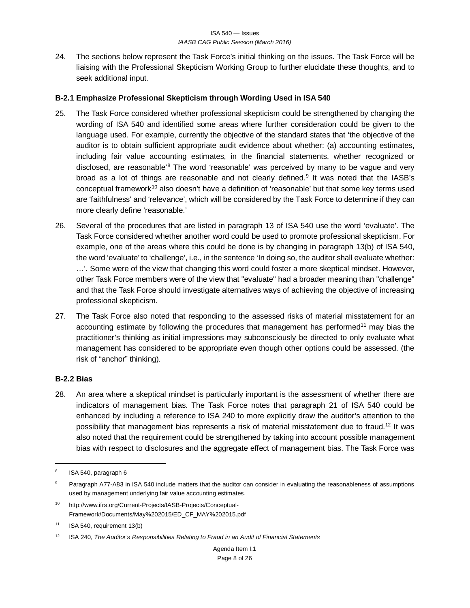24. The sections below represent the Task Force's initial thinking on the issues. The Task Force will be liaising with the Professional Skepticism Working Group to further elucidate these thoughts, and to seek additional input.

## **B-2.1 Emphasize Professional Skepticism through Wording Used in ISA 540**

- 25. The Task Force considered whether professional skepticism could be strengthened by changing the wording of ISA 540 and identified some areas where further consideration could be given to the language used. For example, currently the objective of the standard states that 'the objective of the auditor is to obtain sufficient appropriate audit evidence about whether: (a) accounting estimates, including fair value accounting estimates, in the financial statements, whether recognized or disclosed, are reasonable<sup>'[8](#page-7-0)</sup> The word 'reasonable' was perceived by many to be vague and very broad as a lot of things are reasonable and not clearly defined.<sup>[9](#page-7-1)</sup> It was noted that the IASB's conceptual framework<sup>[10](#page-7-2)</sup> also doesn't have a definition of 'reasonable' but that some key terms used are 'faithfulness' and 'relevance', which will be considered by the Task Force to determine if they can more clearly define 'reasonable.'
- 26. Several of the procedures that are listed in paragraph 13 of ISA 540 use the word 'evaluate'. The Task Force considered whether another word could be used to promote professional skepticism. For example, one of the areas where this could be done is by changing in paragraph 13(b) of ISA 540, the word 'evaluate' to 'challenge', i.e., in the sentence 'In doing so, the auditor shall evaluate whether: …'. Some were of the view that changing this word could foster a more skeptical mindset. However, other Task Force members were of the view that "evaluate" had a broader meaning than "challenge" and that the Task Force should investigate alternatives ways of achieving the objective of increasing professional skepticism.
- 27. The Task Force also noted that responding to the assessed risks of material misstatement for an accounting estimate by following the procedures that management has performed<sup>11</sup> may bias the practitioner's thinking as initial impressions may subconsciously be directed to only evaluate what management has considered to be appropriate even though other options could be assessed. (the risk of "anchor" thinking).

## **B-2.2 Bias**

 $\overline{a}$ 

28. An area where a skeptical mindset is particularly important is the assessment of whether there are indicators of management bias. The Task Force notes that paragraph 21 of ISA 540 could be enhanced by including a reference to ISA 240 to more explicitly draw the auditor's attention to the possibility that management bias represents a risk of material misstatement due to fraud.[12](#page-7-4) It was also noted that the requirement could be strengthened by taking into account possible management bias with respect to disclosures and the aggregate effect of management bias. The Task Force was

<span id="page-7-0"></span><sup>8</sup> ISA 540, paragraph 6

<span id="page-7-1"></span>Paragraph A77-A83 in ISA 540 include matters that the auditor can consider in evaluating the reasonableness of assumptions used by management underlying fair value accounting estimates,

<span id="page-7-2"></span><sup>10</sup> [http://www.ifrs.org/Current-Projects/IASB-Projects/Conceptual-](http://www.ifrs.org/Current-Projects/IASB-Projects/Conceptual-Framework/Documents/May%202015/ED_CF_MAY%202015.pdf)[Framework/Documents/May%202015/ED\\_CF\\_MAY%202015.pdf](http://www.ifrs.org/Current-Projects/IASB-Projects/Conceptual-Framework/Documents/May%202015/ED_CF_MAY%202015.pdf)

<span id="page-7-3"></span> $11$  ISA 540, requirement 13(b)

<span id="page-7-4"></span><sup>12</sup> ISA 240, *The Auditor's Responsibilities Relating to Fraud in an Audit of Financial Statements*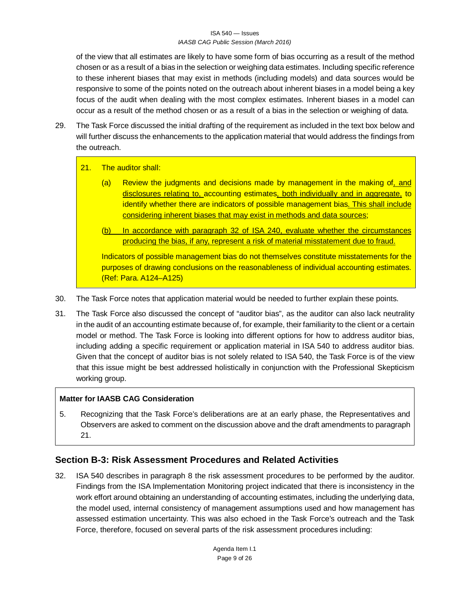of the view that all estimates are likely to have some form of bias occurring as a result of the method chosen or as a result of a bias in the selection or weighing data estimates. Including specific reference to these inherent biases that may exist in methods (including models) and data sources would be responsive to some of the points noted on the outreach about inherent biases in a model being a key focus of the audit when dealing with the most complex estimates. Inherent biases in a model can occur as a result of the method chosen or as a result of a bias in the selection or weighing of data.

- 29. The Task Force discussed the initial drafting of the requirement as included in the text box below and will further discuss the enhancements to the application material that would address the findings from the outreach.
	- 21. The auditor shall:
		- (a) Review the judgments and decisions made by management in the making of, and disclosures relating to, accounting estimates, both individually and in aggregate, to identify whether there are indicators of possible management bias. This shall include considering inherent biases that may exist in methods and data sources;
		- (b) In accordance with paragraph 32 of ISA 240, evaluate whether the circumstances producing the bias, if any, represent a risk of material misstatement due to fraud.

Indicators of possible management bias do not themselves constitute misstatements for the purposes of drawing conclusions on the reasonableness of individual accounting estimates. (Ref: Para. A124–A125)

- 30. The Task Force notes that application material would be needed to further explain these points.
- 31. The Task Force also discussed the concept of "auditor bias", as the auditor can also lack neutrality in the audit of an accounting estimate because of, for example, their familiarity to the client or a certain model or method. The Task Force is looking into different options for how to address auditor bias, including adding a specific requirement or application material in ISA 540 to address auditor bias. Given that the concept of auditor bias is not solely related to ISA 540, the Task Force is of the view that this issue might be best addressed holistically in conjunction with the Professional Skepticism working group.

## **Matter for IAASB CAG Consideration**

5. Recognizing that the Task Force's deliberations are at an early phase, the Representatives and Observers are asked to comment on the discussion above and the draft amendments to paragraph 21.

# **Section B-3: Risk Assessment Procedures and Related Activities**

32. ISA 540 describes in paragraph 8 the risk assessment procedures to be performed by the auditor. Findings from the ISA Implementation Monitoring project indicated that there is inconsistency in the work effort around obtaining an understanding of accounting estimates, including the underlying data, the model used, internal consistency of management assumptions used and how management has assessed estimation uncertainty. This was also echoed in the Task Force's outreach and the Task Force, therefore, focused on several parts of the risk assessment procedures including: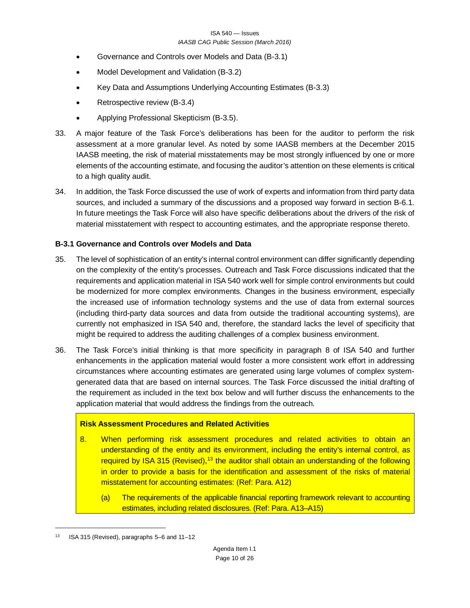- Governance and Controls over Models and Data (B-3.1)
- Model Development and Validation (B-3.2)
- Key Data and Assumptions Underlying Accounting Estimates (B-3.3)
- Retrospective review (B-3.4)
- Applying Professional Skepticism (B-3.5).
- 33. A major feature of the Task Force's deliberations has been for the auditor to perform the risk assessment at a more granular level. As noted by some IAASB members at the December 2015 IAASB meeting, the risk of material misstatements may be most strongly influenced by one or more elements of the accounting estimate, and focusing the auditor's attention on these elements is critical to a high quality audit.
- 34. In addition, the Task Force discussed the use of work of experts and information from third party data sources, and included a summary of the discussions and a proposed way forward in section B-6.1. In future meetings the Task Force will also have specific deliberations about the drivers of the risk of material misstatement with respect to accounting estimates, and the appropriate response thereto.

## **B-3.1 Governance and Controls over Models and Data**

- 35. The level of sophistication of an entity's internal control environment can differ significantly depending on the complexity of the entity's processes. Outreach and Task Force discussions indicated that the requirements and application material in ISA 540 work well for simple control environments but could be modernized for more complex environments. Changes in the business environment, especially the increased use of information technology systems and the use of data from external sources (including third-party data sources and data from outside the traditional accounting systems), are currently not emphasized in ISA 540 and, therefore, the standard lacks the level of specificity that might be required to address the auditing challenges of a complex business environment.
- 36. The Task Force's initial thinking is that more specificity in paragraph 8 of ISA 540 and further enhancements in the application material would foster a more consistent work effort in addressing circumstances where accounting estimates are generated using large volumes of complex systemgenerated data that are based on internal sources. The Task Force discussed the initial drafting of the requirement as included in the text box below and will further discuss the enhancements to the application material that would address the findings from the outreach.

## **Risk Assessment Procedures and Related Activities**

- 8. When performing risk assessment procedures and related activities to obtain an understanding of the entity and its environment, including the entity's internal control, as required by ISA 315 (Revised),<sup>[13](#page-9-0)</sup> the auditor shall obtain an understanding of the following in order to provide a basis for the identification and assessment of the risks of material misstatement for accounting estimates: (Ref: Para. A12)
	- (a) The requirements of the applicable financial reporting framework relevant to accounting estimates, including related disclosures. (Ref: Para. A13–A15)

<span id="page-9-0"></span><sup>13</sup> ISA 315 (Revised), paragraphs 5–6 and 11–12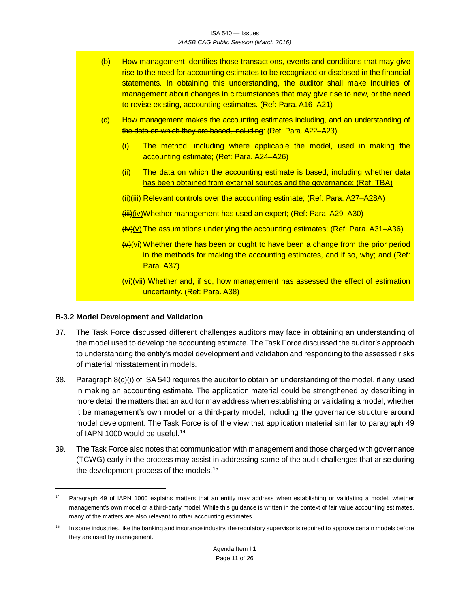| (b) | How management identifies those transactions, events and conditions that may give<br>rise to the need for accounting estimates to be recognized or disclosed in the financial<br>statements. In obtaining this understanding, the auditor shall make inquiries of<br>management about changes in circumstances that may give rise to new, or the need<br>to revise existing, accounting estimates. (Ref: Para. A16-A21) |
|-----|-------------------------------------------------------------------------------------------------------------------------------------------------------------------------------------------------------------------------------------------------------------------------------------------------------------------------------------------------------------------------------------------------------------------------|
| (c) | How management makes the accounting estimates including, and an understanding of<br>the data on which they are based, including: (Ref: Para. A22-A23)                                                                                                                                                                                                                                                                   |
|     | The method, including where applicable the model, used in making the<br>(i)<br>accounting estimate; (Ref: Para. A24-A26)                                                                                                                                                                                                                                                                                                |
|     | The data on which the accounting estimate is based, including whether data<br>(ii)<br>has been obtained from external sources and the governance; (Ref: TBA)                                                                                                                                                                                                                                                            |
|     | $\frac{H_i}{H_i}$ (iii) Relevant controls over the accounting estimate; (Ref: Para. A27–A28A)                                                                                                                                                                                                                                                                                                                           |
|     | (iii)(iv)Whether management has used an expert; (Ref: Para. A29-A30)                                                                                                                                                                                                                                                                                                                                                    |
|     | $\frac{\mathsf{fiv}(\mathsf{v})}{\mathsf{v}}$ The assumptions underlying the accounting estimates; (Ref: Para. A31–A36)                                                                                                                                                                                                                                                                                                 |
|     | $\frac{(\psi)(\nu i)}{\psi}$ Whether there has been or ought to have been a change from the prior period<br>in the methods for making the accounting estimates, and if so, why; and (Ref:<br>Para. A37)                                                                                                                                                                                                                 |
|     | $\frac{f}{f}(x)$ Whether and, if so, how management has assessed the effect of estimation<br>uncertainty. (Ref: Para. A38)                                                                                                                                                                                                                                                                                              |

# **B-3.2 Model Development and Validation**

- 37. The Task Force discussed different challenges auditors may face in obtaining an understanding of the model used to develop the accounting estimate. The Task Force discussed the auditor's approach to understanding the entity's model development and validation and responding to the assessed risks of material misstatement in models.
- 38. Paragraph 8(c)(i) of ISA 540 requires the auditor to obtain an understanding of the model, if any, used in making an accounting estimate. The application material could be strengthened by describing in more detail the matters that an auditor may address when establishing or validating a model, whether it be management's own model or a third-party model, including the governance structure around model development. The Task Force is of the view that application material similar to paragraph 49 of IAPN 1000 would be useful.<sup>[14](#page-10-0)</sup>
- 39. The Task Force also notes that communication with management and those charged with governance (TCWG) early in the process may assist in addressing some of the audit challenges that arise during the development process of the models.<sup>[15](#page-10-1)</sup>

<span id="page-10-0"></span><sup>&</sup>lt;sup>14</sup> Paragraph 49 of IAPN 1000 explains matters that an entity may address when establishing or validating a model, whether management's own model or a third-party model. While this guidance is written in the context of fair value accounting estimates, many of the matters are also relevant to other accounting estimates.

<span id="page-10-1"></span><sup>&</sup>lt;sup>15</sup> In some industries, like the banking and insurance industry, the regulatory supervisor is required to approve certain models before they are used by management.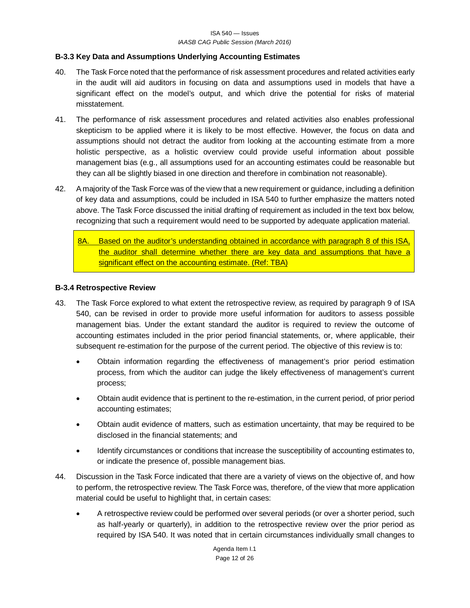## **B-3.3 Key Data and Assumptions Underlying Accounting Estimates**

- 40. The Task Force noted that the performance of risk assessment procedures and related activities early in the audit will aid auditors in focusing on data and assumptions used in models that have a significant effect on the model's output, and which drive the potential for risks of material misstatement.
- 41. The performance of risk assessment procedures and related activities also enables professional skepticism to be applied where it is likely to be most effective. However, the focus on data and assumptions should not detract the auditor from looking at the accounting estimate from a more holistic perspective, as a holistic overview could provide useful information about possible management bias (e.g., all assumptions used for an accounting estimates could be reasonable but they can all be slightly biased in one direction and therefore in combination not reasonable).
- 42. A majority of the Task Force was of the view that a new requirement or guidance, including a definition of key data and assumptions, could be included in ISA 540 to further emphasize the matters noted above. The Task Force discussed the initial drafting of requirement as included in the text box below, recognizing that such a requirement would need to be supported by adequate application material.

8A. Based on the auditor's understanding obtained in accordance with paragraph 8 of this ISA, the auditor shall determine whether there are key data and assumptions that have a significant effect on the accounting estimate. (Ref: TBA)

## **B-3.4 Retrospective Review**

- 43. The Task Force explored to what extent the retrospective review, as required by paragraph 9 of ISA 540, can be revised in order to provide more useful information for auditors to assess possible management bias. Under the extant standard the auditor is required to review the outcome of accounting estimates included in the prior period financial statements, or, where applicable, their subsequent re-estimation for the purpose of the current period. The objective of this review is to:
	- Obtain information regarding the effectiveness of management's prior period estimation process, from which the auditor can judge the likely effectiveness of management's current process;
	- Obtain audit evidence that is pertinent to the re-estimation, in the current period, of prior period accounting estimates;
	- Obtain audit evidence of matters, such as estimation uncertainty, that may be required to be disclosed in the financial statements; and
	- Identify circumstances or conditions that increase the susceptibility of accounting estimates to, or indicate the presence of, possible management bias.
- 44. Discussion in the Task Force indicated that there are a variety of views on the objective of, and how to perform, the retrospective review. The Task Force was, therefore, of the view that more application material could be useful to highlight that, in certain cases:
	- A retrospective review could be performed over several periods (or over a shorter period, such as half-yearly or quarterly), in addition to the retrospective review over the prior period as required by ISA 540. It was noted that in certain circumstances individually small changes to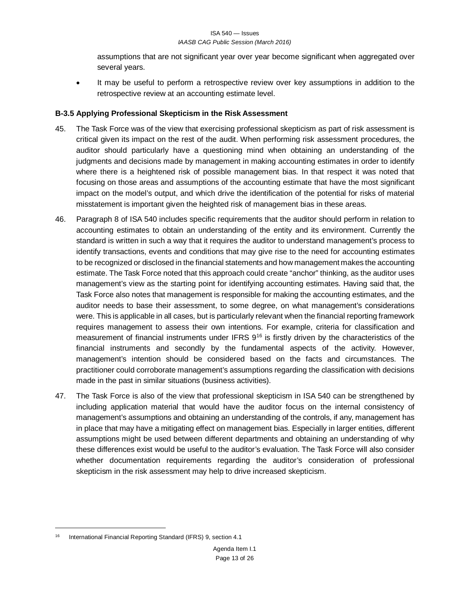assumptions that are not significant year over year become significant when aggregated over several years.

• It may be useful to perform a retrospective review over key assumptions in addition to the retrospective review at an accounting estimate level.

# **B-3.5 Applying Professional Skepticism in the Risk Assessment**

- 45. The Task Force was of the view that exercising professional skepticism as part of risk assessment is critical given its impact on the rest of the audit. When performing risk assessment procedures, the auditor should particularly have a questioning mind when obtaining an understanding of the judgments and decisions made by management in making accounting estimates in order to identify where there is a heightened risk of possible management bias. In that respect it was noted that focusing on those areas and assumptions of the accounting estimate that have the most significant impact on the model's output, and which drive the identification of the potential for risks of material misstatement is important given the heighted risk of management bias in these areas.
- 46. Paragraph 8 of ISA 540 includes specific requirements that the auditor should perform in relation to accounting estimates to obtain an understanding of the entity and its environment. Currently the standard is written in such a way that it requires the auditor to understand management's process to identify transactions, events and conditions that may give rise to the need for accounting estimates to be recognized or disclosed in the financial statements and how management makes the accounting estimate. The Task Force noted that this approach could create "anchor" thinking, as the auditor uses management's view as the starting point for identifying accounting estimates. Having said that, the Task Force also notes that management is responsible for making the accounting estimates, and the auditor needs to base their assessment, to some degree, on what management's considerations were. This is applicable in all cases, but is particularly relevant when the financial reporting framework requires management to assess their own intentions. For example, criteria for classification and measurement of financial instruments under IFRS 9<sup>16</sup> is firstly driven by the characteristics of the financial instruments and secondly by the fundamental aspects of the activity. However, management's intention should be considered based on the facts and circumstances. The practitioner could corroborate management's assumptions regarding the classification with decisions made in the past in similar situations (business activities).
- 47. The Task Force is also of the view that professional skepticism in ISA 540 can be strengthened by including application material that would have the auditor focus on the internal consistency of management's assumptions and obtaining an understanding of the controls, if any, management has in place that may have a mitigating effect on management bias. Especially in larger entities, different assumptions might be used between different departments and obtaining an understanding of why these differences exist would be useful to the auditor's evaluation. The Task Force will also consider whether documentation requirements regarding the auditor's consideration of professional skepticism in the risk assessment may help to drive increased skepticism.

<span id="page-12-0"></span><sup>16</sup> International Financial Reporting Standard (IFRS) 9, section 4.1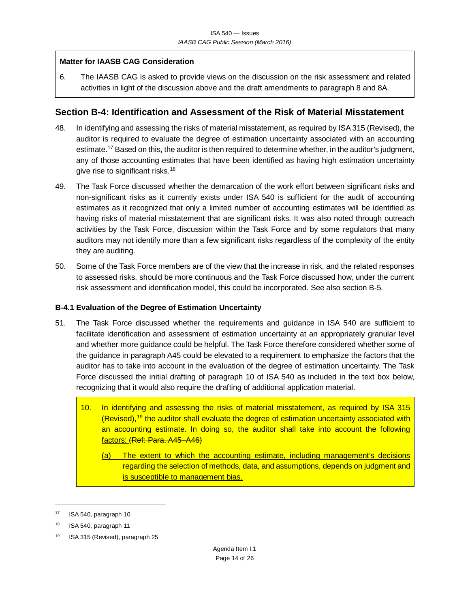## **Matter for IAASB CAG Consideration**

6. The IAASB CAG is asked to provide views on the discussion on the risk assessment and related activities in light of the discussion above and the draft amendments to paragraph 8 and 8A.

# **Section B-4: Identification and Assessment of the Risk of Material Misstatement**

- 48. In identifying and assessing the risks of material misstatement, as required by ISA 315 (Revised), the auditor is required to evaluate the degree of estimation uncertainty associated with an accounting estimate[.17](#page-13-0) Based on this, the auditor is then required to determine whether, in the auditor's judgment, any of those accounting estimates that have been identified as having high estimation uncertainty give rise to significant risks.<sup>[18](#page-13-1)</sup>
- 49. The Task Force discussed whether the demarcation of the work effort between significant risks and non-significant risks as it currently exists under ISA 540 is sufficient for the audit of accounting estimates as it recognized that only a limited number of accounting estimates will be identified as having risks of material misstatement that are significant risks. It was also noted through outreach activities by the Task Force, discussion within the Task Force and by some regulators that many auditors may not identify more than a few significant risks regardless of the complexity of the entity they are auditing.
- 50. Some of the Task Force members are of the view that the increase in risk, and the related responses to assessed risks, should be more continuous and the Task Force discussed how, under the current risk assessment and identification model, this could be incorporated. See also section B-5.

## **B-4.1 Evaluation of the Degree of Estimation Uncertainty**

- 51. The Task Force discussed whether the requirements and guidance in ISA 540 are sufficient to facilitate identification and assessment of estimation uncertainty at an appropriately granular level and whether more guidance could be helpful. The Task Force therefore considered whether some of the guidance in paragraph A45 could be elevated to a requirement to emphasize the factors that the auditor has to take into account in the evaluation of the degree of estimation uncertainty. The Task Force discussed the initial drafting of paragraph 10 of ISA 540 as included in the text box below, recognizing that it would also require the drafting of additional application material.
	- 10. In identifying and assessing the risks of material misstatement, as required by ISA 315  $(Revised)$ ,<sup>[19](#page-13-2)</sup> the auditor shall evaluate the degree of estimation uncertainty associated with an accounting estimate. In doing so, the auditor shall take into account the following factors: (Ref: Para. A45–A46)
		- (a) The extent to which the accounting estimate, including management's decisions regarding the selection of methods, data, and assumptions, depends on judgment and is susceptible to management bias.

<span id="page-13-0"></span><sup>17</sup> ISA 540, paragraph 10

<span id="page-13-1"></span> $18$  ISA 540, paragraph 11

<span id="page-13-2"></span><sup>19</sup> ISA 315 (Revised), paragraph 25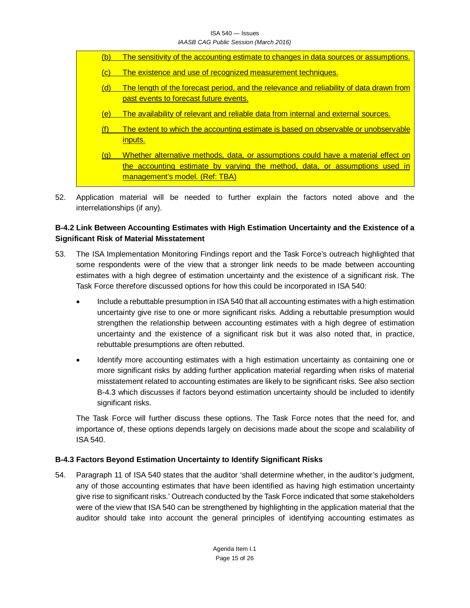- (b) The sensitivity of the accounting estimate to changes in data sources or assumptions. (c) The existence and use of recognized measurement techniques. (d) The length of the forecast period, and the relevance and reliability of data drawn from past events to forecast future events. (e) The availability of relevant and reliable data from internal and external sources. (f) The extent to which the accounting estimate is based on observable or unobservable inputs. (g) Whether alternative methods, data, or assumptions could have a material effect on the accounting estimate by varying the method, data, or assumptions used in management's model. (Ref: TBA)
- 52. Application material will be needed to further explain the factors noted above and the interrelationships (if any).

# **B-4.2 Link Between Accounting Estimates with High Estimation Uncertainty and the Existence of a Significant Risk of Material Misstatement**

- 53. The ISA Implementation Monitoring Findings report and the Task Force's outreach highlighted that some respondents were of the view that a stronger link needs to be made between accounting estimates with a high degree of estimation uncertainty and the existence of a significant risk. The Task Force therefore discussed options for how this could be incorporated in ISA 540:
	- Include a rebuttable presumption in ISA 540 that all accounting estimates with a high estimation uncertainty give rise to one or more significant risks. Adding a rebuttable presumption would strengthen the relationship between accounting estimates with a high degree of estimation uncertainty and the existence of a significant risk but it was also noted that, in practice, rebuttable presumptions are often rebutted.
	- Identify more accounting estimates with a high estimation uncertainty as containing one or more significant risks by adding further application material regarding when risks of material misstatement related to accounting estimates are likely to be significant risks. See also section B-4.3 which discusses if factors beyond estimation uncertainty should be included to identify significant risks.

The Task Force will further discuss these options. The Task Force notes that the need for, and importance of, these options depends largely on decisions made about the scope and scalability of ISA 540.

# **B-4.3 Factors Beyond Estimation Uncertainty to Identify Significant Risks**

54. Paragraph 11 of ISA 540 states that the auditor 'shall determine whether, in the auditor's judgment, any of those accounting estimates that have been identified as having high estimation uncertainty give rise to significant risks.' Outreach conducted by the Task Force indicated that some stakeholders were of the view that ISA 540 can be strengthened by highlighting in the application material that the auditor should take into account the general principles of identifying accounting estimates as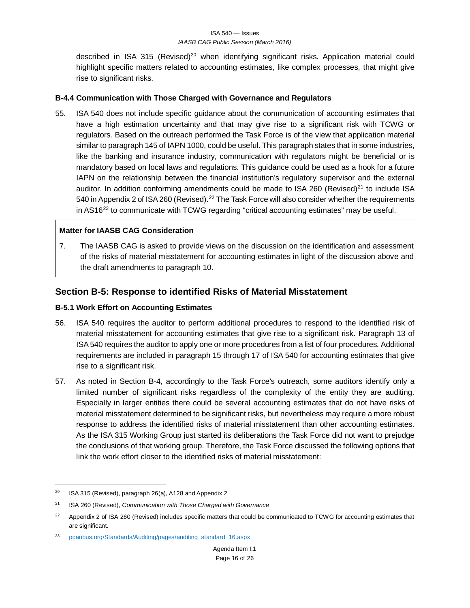described in ISA 315 (Revised)<sup>[20](#page-15-0)</sup> when identifying significant risks. Application material could highlight specific matters related to accounting estimates, like complex processes, that might give rise to significant risks.

## **B-4.4 Communication with Those Charged with Governance and Regulators**

55. ISA 540 does not include specific guidance about the communication of accounting estimates that have a high estimation uncertainty and that may give rise to a significant risk with TCWG or regulators. Based on the outreach performed the Task Force is of the view that application material similar to paragraph 145 of IAPN 1000, could be useful. This paragraph states that in some industries, like the banking and insurance industry, communication with regulators might be beneficial or is mandatory based on local laws and regulations. This guidance could be used as a hook for a future IAPN on the relationship between the financial institution's regulatory supervisor and the external auditor. In addition conforming amendments could be made to ISA 260 (Revised) $^{21}$  $^{21}$  $^{21}$  to include ISA 540 in Appendix 2 of ISA 260 (Revised).<sup>[22](#page-15-2)</sup> The Task Force will also consider whether the requirements in AS16<sup>23</sup> to communicate with TCWG regarding "critical accounting estimates" may be useful.

## **Matter for IAASB CAG Consideration**

7. The IAASB CAG is asked to provide views on the discussion on the identification and assessment of the risks of material misstatement for accounting estimates in light of the discussion above and the draft amendments to paragraph 10.

# **Section B-5: Response to identified Risks of Material Misstatement**

## **B-5.1 Work Effort on Accounting Estimates**

- 56. ISA 540 requires the auditor to perform additional procedures to respond to the identified risk of material misstatement for accounting estimates that give rise to a significant risk. Paragraph 13 of ISA 540 requires the auditor to apply one or more procedures from a list of four procedures. Additional requirements are included in paragraph 15 through 17 of ISA 540 for accounting estimates that give rise to a significant risk.
- 57. As noted in Section B-4, accordingly to the Task Force's outreach, some auditors identify only a limited number of significant risks regardless of the complexity of the entity they are auditing. Especially in larger entities there could be several accounting estimates that do not have risks of material misstatement determined to be significant risks, but nevertheless may require a more robust response to address the identified risks of material misstatement than other accounting estimates. As the ISA 315 Working Group just started its deliberations the Task Force did not want to prejudge the conclusions of that working group. Therefore, the Task Force discussed the following options that link the work effort closer to the identified risks of material misstatement:

<span id="page-15-0"></span><sup>&</sup>lt;sup>20</sup> ISA 315 (Revised), paragraph  $26(a)$ , A128 and Appendix 2

<span id="page-15-1"></span><sup>21</sup> ISA 260 (Revised), *Communication with Those Charged with Governance*

<span id="page-15-2"></span><sup>&</sup>lt;sup>22</sup> Appendix 2 of ISA 260 (Revised) includes specific matters that could be communicated to TCWG for accounting estimates that are significant.

<span id="page-15-3"></span><sup>23</sup> pcaobus.org/Standards/Auditing/pages/auditing\_standard\_16.aspx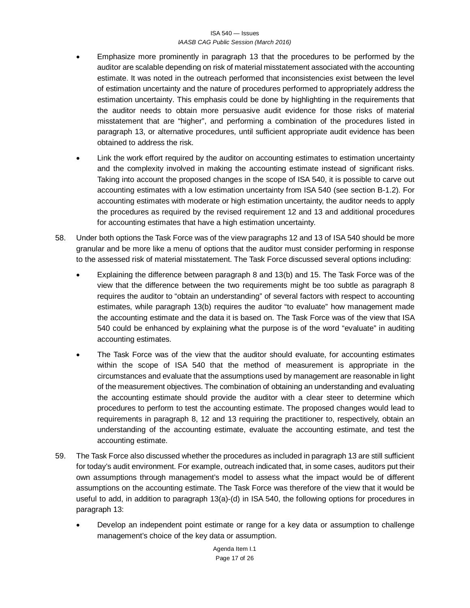- Emphasize more prominently in paragraph 13 that the procedures to be performed by the auditor are scalable depending on risk of material misstatement associated with the accounting estimate. It was noted in the outreach performed that inconsistencies exist between the level of estimation uncertainty and the nature of procedures performed to appropriately address the estimation uncertainty. This emphasis could be done by highlighting in the requirements that the auditor needs to obtain more persuasive audit evidence for those risks of material misstatement that are "higher", and performing a combination of the procedures listed in paragraph 13, or alternative procedures, until sufficient appropriate audit evidence has been obtained to address the risk.
- Link the work effort required by the auditor on accounting estimates to estimation uncertainty and the complexity involved in making the accounting estimate instead of significant risks. Taking into account the proposed changes in the scope of ISA 540, it is possible to carve out accounting estimates with a low estimation uncertainty from ISA 540 (see section B-1.2). For accounting estimates with moderate or high estimation uncertainty, the auditor needs to apply the procedures as required by the revised requirement 12 and 13 and additional procedures for accounting estimates that have a high estimation uncertainty.
- 58. Under both options the Task Force was of the view paragraphs 12 and 13 of ISA 540 should be more granular and be more like a menu of options that the auditor must consider performing in response to the assessed risk of material misstatement. The Task Force discussed several options including:
	- Explaining the difference between paragraph 8 and 13(b) and 15. The Task Force was of the view that the difference between the two requirements might be too subtle as paragraph 8 requires the auditor to "obtain an understanding" of several factors with respect to accounting estimates, while paragraph 13(b) requires the auditor "to evaluate" how management made the accounting estimate and the data it is based on. The Task Force was of the view that ISA 540 could be enhanced by explaining what the purpose is of the word "evaluate" in auditing accounting estimates.
	- The Task Force was of the view that the auditor should evaluate, for accounting estimates within the scope of ISA 540 that the method of measurement is appropriate in the circumstances and evaluate that the assumptions used by management are reasonable in light of the measurement objectives. The combination of obtaining an understanding and evaluating the accounting estimate should provide the auditor with a clear steer to determine which procedures to perform to test the accounting estimate. The proposed changes would lead to requirements in paragraph 8, 12 and 13 requiring the practitioner to, respectively, obtain an understanding of the accounting estimate, evaluate the accounting estimate, and test the accounting estimate.
- 59. The Task Force also discussed whether the procedures as included in paragraph 13 are still sufficient for today's audit environment. For example, outreach indicated that, in some cases, auditors put their own assumptions through management's model to assess what the impact would be of different assumptions on the accounting estimate. The Task Force was therefore of the view that it would be useful to add, in addition to paragraph 13(a)-(d) in ISA 540, the following options for procedures in paragraph 13:
	- Develop an independent point estimate or range for a key data or assumption to challenge management's choice of the key data or assumption.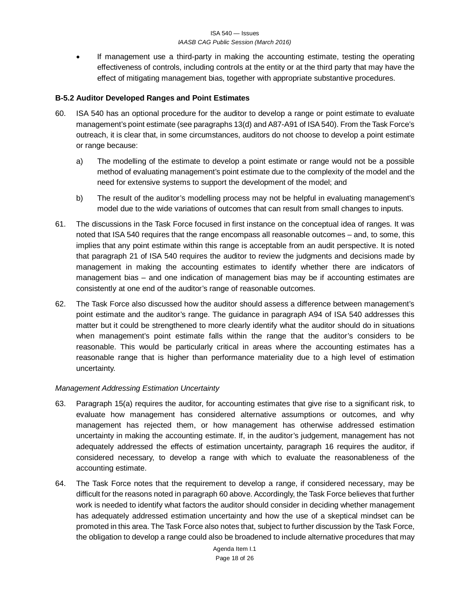If management use a third-party in making the accounting estimate, testing the operating effectiveness of controls, including controls at the entity or at the third party that may have the effect of mitigating management bias, together with appropriate substantive procedures.

## **B-5.2 Auditor Developed Ranges and Point Estimates**

- 60. ISA 540 has an optional procedure for the auditor to develop a range or point estimate to evaluate management's point estimate (see paragraphs 13(d) and A87-A91 of ISA 540). From the Task Force's outreach, it is clear that, in some circumstances, auditors do not choose to develop a point estimate or range because:
	- a) The modelling of the estimate to develop a point estimate or range would not be a possible method of evaluating management's point estimate due to the complexity of the model and the need for extensive systems to support the development of the model; and
	- b) The result of the auditor's modelling process may not be helpful in evaluating management's model due to the wide variations of outcomes that can result from small changes to inputs.
- 61. The discussions in the Task Force focused in first instance on the conceptual idea of ranges. It was noted that ISA 540 requires that the range encompass all reasonable outcomes – and, to some, this implies that any point estimate within this range is acceptable from an audit perspective. It is noted that paragraph 21 of ISA 540 requires the auditor to review the judgments and decisions made by management in making the accounting estimates to identify whether there are indicators of management bias – and one indication of management bias may be if accounting estimates are consistently at one end of the auditor's range of reasonable outcomes.
- 62. The Task Force also discussed how the auditor should assess a difference between management's point estimate and the auditor's range. The guidance in paragraph A94 of ISA 540 addresses this matter but it could be strengthened to more clearly identify what the auditor should do in situations when management's point estimate falls within the range that the auditor's considers to be reasonable. This would be particularly critical in areas where the accounting estimates has a reasonable range that is higher than performance materiality due to a high level of estimation uncertainty.

## *Management Addressing Estimation Uncertainty*

- 63. Paragraph 15(a) requires the auditor, for accounting estimates that give rise to a significant risk, to evaluate how management has considered alternative assumptions or outcomes, and why management has rejected them, or how management has otherwise addressed estimation uncertainty in making the accounting estimate. If, in the auditor's judgement, management has not adequately addressed the effects of estimation uncertainty, paragraph 16 requires the auditor, if considered necessary, to develop a range with which to evaluate the reasonableness of the accounting estimate.
- 64. The Task Force notes that the requirement to develop a range, if considered necessary, may be difficult for the reasons noted in paragraph 60 above. Accordingly, the Task Force believes that further work is needed to identify what factors the auditor should consider in deciding whether management has adequately addressed estimation uncertainty and how the use of a skeptical mindset can be promoted in this area. The Task Force also notes that, subject to further discussion by the Task Force, the obligation to develop a range could also be broadened to include alternative procedures that may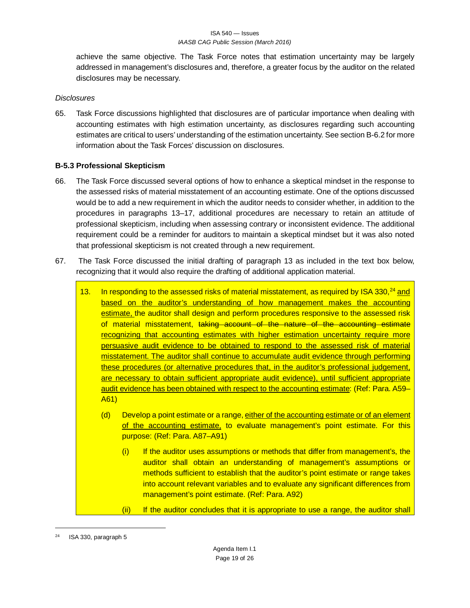achieve the same objective. The Task Force notes that estimation uncertainty may be largely addressed in management's disclosures and, therefore, a greater focus by the auditor on the related disclosures may be necessary.

## *Disclosures*

65. Task Force discussions highlighted that disclosures are of particular importance when dealing with accounting estimates with high estimation uncertainty, as disclosures regarding such accounting estimates are critical to users' understanding of the estimation uncertainty. See section B-6.2 for more information about the Task Forces' discussion on disclosures.

## **B-5.3 Professional Skepticism**

- 66. The Task Force discussed several options of how to enhance a skeptical mindset in the response to the assessed risks of material misstatement of an accounting estimate. One of the options discussed would be to add a new requirement in which the auditor needs to consider whether, in addition to the procedures in paragraphs 13–17, additional procedures are necessary to retain an attitude of professional skepticism, including when assessing contrary or inconsistent evidence. The additional requirement could be a reminder for auditors to maintain a skeptical mindset but it was also noted that professional skepticism is not created through a new requirement.
- 67. The Task Force discussed the initial drafting of paragraph 13 as included in the text box below, recognizing that it would also require the drafting of additional application material.
	- 13. In responding to the assessed risks of material misstatement, as required by ISA 330, $^{24}$  $^{24}$  $^{24}$  and based on the auditor's understanding of how management makes the accounting estimate, the auditor shall design and perform procedures responsive to the assessed risk of material misstatement, taking account of the nature of the accounting estimate recognizing that accounting estimates with higher estimation uncertainty require more persuasive audit evidence to be obtained to respond to the assessed risk of material misstatement. The auditor shall continue to accumulate audit evidence through performing these procedures (or alternative procedures that, in the auditor's professional judgement, are necessary to obtain sufficient appropriate audit evidence), until sufficient appropriate audit evidence has been obtained with respect to the accounting estimate: (Ref: Para. A59– A61)
		- (d) Develop a point estimate or a range, either of the accounting estimate or of an element of the accounting estimate, to evaluate management's point estimate. For this purpose: (Ref: Para. A87–A91)
			- (i) If the auditor uses assumptions or methods that differ from management's, the auditor shall obtain an understanding of management's assumptions or methods sufficient to establish that the auditor's point estimate or range takes into account relevant variables and to evaluate any significant differences from management's point estimate. (Ref: Para. A92)
			- (ii) If the auditor concludes that it is appropriate to use a range, the auditor shall

<span id="page-18-0"></span> $24$  ISA 330, paragraph 5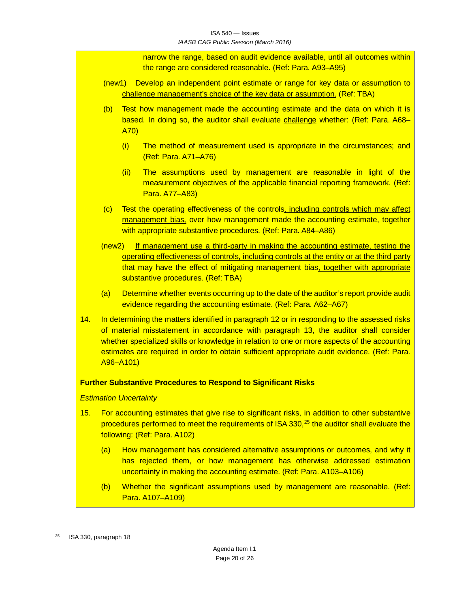|                                                                       |                                                                                                                                                                                                                                                                                                                                                                                                          |                                                                                                                                                                                                                                          | narrow the range, based on audit evidence available, until all outcomes within<br>the range are considered reasonable. (Ref: Para. A93-A95)                                                                                                                                                              |
|-----------------------------------------------------------------------|----------------------------------------------------------------------------------------------------------------------------------------------------------------------------------------------------------------------------------------------------------------------------------------------------------------------------------------------------------------------------------------------------------|------------------------------------------------------------------------------------------------------------------------------------------------------------------------------------------------------------------------------------------|----------------------------------------------------------------------------------------------------------------------------------------------------------------------------------------------------------------------------------------------------------------------------------------------------------|
|                                                                       |                                                                                                                                                                                                                                                                                                                                                                                                          |                                                                                                                                                                                                                                          | (new1) Develop an independent point estimate or range for key data or assumption to<br>challenge management's choice of the key data or assumption. (Ref: TBA)                                                                                                                                           |
|                                                                       |                                                                                                                                                                                                                                                                                                                                                                                                          | (b)                                                                                                                                                                                                                                      | Test how management made the accounting estimate and the data on which it is<br>based. In doing so, the auditor shall evaluate challenge whether: (Ref: Para. A68-<br>A70)                                                                                                                               |
|                                                                       |                                                                                                                                                                                                                                                                                                                                                                                                          |                                                                                                                                                                                                                                          | (i)<br>The method of measurement used is appropriate in the circumstances; and<br>(Ref: Para. A71-A76)                                                                                                                                                                                                   |
|                                                                       |                                                                                                                                                                                                                                                                                                                                                                                                          |                                                                                                                                                                                                                                          | (ii)<br>The assumptions used by management are reasonable in light of the<br>measurement objectives of the applicable financial reporting framework. (Ref:<br>Para. A77-A83)                                                                                                                             |
|                                                                       |                                                                                                                                                                                                                                                                                                                                                                                                          | (c)                                                                                                                                                                                                                                      | Test the operating effectiveness of the controls, including controls which may affect<br>management bias, over how management made the accounting estimate, together<br>with appropriate substantive procedures. (Ref: Para. A84-A86)                                                                    |
|                                                                       |                                                                                                                                                                                                                                                                                                                                                                                                          | (new2)                                                                                                                                                                                                                                   | If management use a third-party in making the accounting estimate, testing the<br>operating effectiveness of controls, including controls at the entity or at the third party<br>that may have the effect of mitigating management bias, together with appropriate<br>substantive procedures. (Ref: TBA) |
|                                                                       |                                                                                                                                                                                                                                                                                                                                                                                                          | (a)                                                                                                                                                                                                                                      | Determine whether events occurring up to the date of the auditor's report provide audit<br>evidence regarding the accounting estimate. (Ref: Para. A62-A67)                                                                                                                                              |
|                                                                       | In determining the matters identified in paragraph 12 or in responding to the assessed risks<br>14.<br>of material misstatement in accordance with paragraph 13, the auditor shall consider<br>whether specialized skills or knowledge in relation to one or more aspects of the accounting<br>estimates are required in order to obtain sufficient appropriate audit evidence. (Ref: Para.<br>A96-A101) |                                                                                                                                                                                                                                          |                                                                                                                                                                                                                                                                                                          |
| <b>Further Substantive Procedures to Respond to Significant Risks</b> |                                                                                                                                                                                                                                                                                                                                                                                                          |                                                                                                                                                                                                                                          |                                                                                                                                                                                                                                                                                                          |
|                                                                       |                                                                                                                                                                                                                                                                                                                                                                                                          |                                                                                                                                                                                                                                          | <b>Estimation Uncertainty</b>                                                                                                                                                                                                                                                                            |
|                                                                       | 15.                                                                                                                                                                                                                                                                                                                                                                                                      | For accounting estimates that give rise to significant risks, in addition to other substantive<br>procedures performed to meet the requirements of ISA 330, <sup>25</sup> the auditor shall evaluate the<br>following: (Ref: Para. A102) |                                                                                                                                                                                                                                                                                                          |
|                                                                       |                                                                                                                                                                                                                                                                                                                                                                                                          | (a)                                                                                                                                                                                                                                      | How management has considered alternative assumptions or outcomes, and why it<br>has rejected them, or how management has otherwise addressed estimation<br>uncertainty in making the accounting estimate. (Ref: Para. A103-A106)                                                                        |
|                                                                       |                                                                                                                                                                                                                                                                                                                                                                                                          | (b)                                                                                                                                                                                                                                      | Whether the significant assumptions used by management are reasonable. (Ref:<br>Para. A107-A109)                                                                                                                                                                                                         |

<span id="page-19-0"></span><sup>25</sup> ISA 330, paragraph 18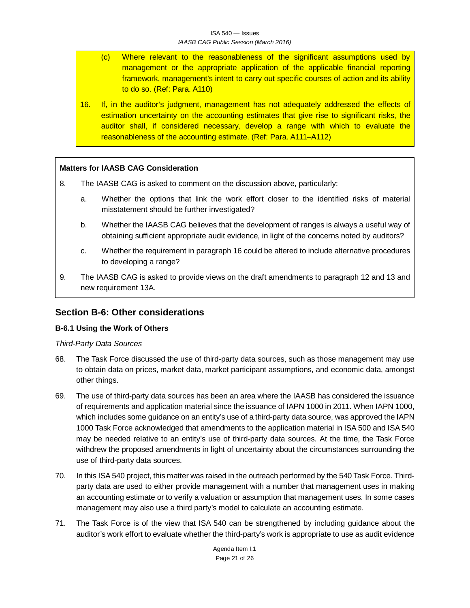- (c) Where relevant to the reasonableness of the significant assumptions used by management or the appropriate application of the applicable financial reporting framework, management's intent to carry out specific courses of action and its ability to do so. (Ref: Para. A110)
- 16. If, in the auditor's judgment, management has not adequately addressed the effects of estimation uncertainty on the accounting estimates that give rise to significant risks, the auditor shall, if considered necessary, develop a range with which to evaluate the reasonableness of the accounting estimate. (Ref: Para. A111–A112)

# **Matters for IAASB CAG Consideration**

- 8. The IAASB CAG is asked to comment on the discussion above, particularly:
	- a. Whether the options that link the work effort closer to the identified risks of material misstatement should be further investigated?
	- b. Whether the IAASB CAG believes that the development of ranges is always a useful way of obtaining sufficient appropriate audit evidence, in light of the concerns noted by auditors?
	- c. Whether the requirement in paragraph 16 could be altered to include alternative procedures to developing a range?
- 9. The IAASB CAG is asked to provide views on the draft amendments to paragraph 12 and 13 and new requirement 13A.

# **Section B-6: Other considerations**

# **B-6.1 Using the Work of Others**

## *Third-Party Data Sources*

- 68. The Task Force discussed the use of third-party data sources, such as those management may use to obtain data on prices, market data, market participant assumptions, and economic data, amongst other things.
- 69. The use of third-party data sources has been an area where the IAASB has considered the issuance of requirements and application material since the issuance of IAPN 1000 in 2011. When IAPN 1000, which includes some guidance on an entity's use of a third-party data source, was approved the IAPN 1000 Task Force acknowledged that amendments to the application material in ISA 500 and ISA 540 may be needed relative to an entity's use of third-party data sources. At the time, the Task Force withdrew the proposed amendments in light of uncertainty about the circumstances surrounding the use of third-party data sources.
- 70. In this ISA 540 project, this matter was raised in the outreach performed by the 540 Task Force. Thirdparty data are used to either provide management with a number that management uses in making an accounting estimate or to verify a valuation or assumption that management uses. In some cases management may also use a third party's model to calculate an accounting estimate.
- 71. The Task Force is of the view that ISA 540 can be strengthened by including guidance about the auditor's work effort to evaluate whether the third-party's work is appropriate to use as audit evidence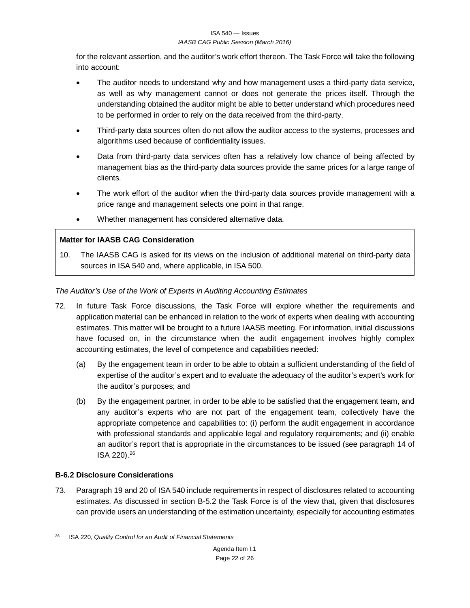for the relevant assertion, and the auditor's work effort thereon. The Task Force will take the following into account:

- The auditor needs to understand why and how management uses a third-party data service, as well as why management cannot or does not generate the prices itself. Through the understanding obtained the auditor might be able to better understand which procedures need to be performed in order to rely on the data received from the third-party.
- Third-party data sources often do not allow the auditor access to the systems, processes and algorithms used because of confidentiality issues.
- Data from third-party data services often has a relatively low chance of being affected by management bias as the third-party data sources provide the same prices for a large range of clients.
- The work effort of the auditor when the third-party data sources provide management with a price range and management selects one point in that range.
- Whether management has considered alternative data.

# **Matter for IAASB CAG Consideration**

10. The IAASB CAG is asked for its views on the inclusion of additional material on third-party data sources in ISA 540 and, where applicable, in ISA 500.

# *The Auditor's Use of the Work of Experts in Auditing Accounting Estimates*

- 72. In future Task Force discussions, the Task Force will explore whether the requirements and application material can be enhanced in relation to the work of experts when dealing with accounting estimates. This matter will be brought to a future IAASB meeting. For information, initial discussions have focused on, in the circumstance when the audit engagement involves highly complex accounting estimates, the level of competence and capabilities needed:
	- (a) By the engagement team in order to be able to obtain a sufficient understanding of the field of expertise of the auditor's expert and to evaluate the adequacy of the auditor's expert's work for the auditor's purposes; and
	- (b) By the engagement partner, in order to be able to be satisfied that the engagement team, and any auditor's experts who are not part of the engagement team, collectively have the appropriate competence and capabilities to: (i) perform the audit engagement in accordance with professional standards and applicable legal and regulatory requirements; and (ii) enable an auditor's report that is appropriate in the circumstances to be issued (see paragraph 14 of ISA 220).[26](#page-21-0)

# **B-6.2 Disclosure Considerations**

 $\overline{a}$ 

73. Paragraph 19 and 20 of ISA 540 include requirements in respect of disclosures related to accounting estimates. As discussed in section B-5.2 the Task Force is of the view that, given that disclosures can provide users an understanding of the estimation uncertainty, especially for accounting estimates

<span id="page-21-0"></span><sup>26</sup> ISA 220, *Quality Control for an Audit of Financial Statements*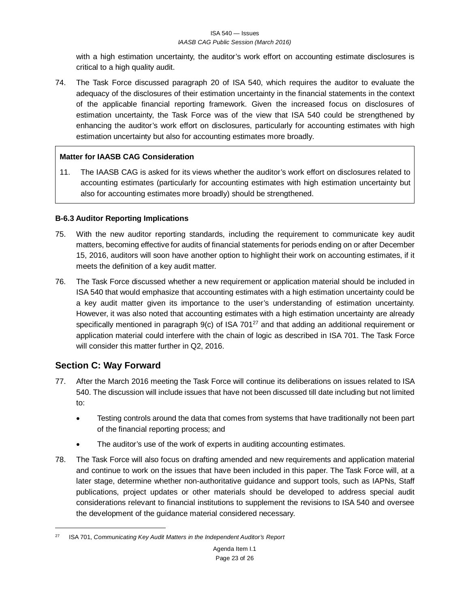with a high estimation uncertainty, the auditor's work effort on accounting estimate disclosures is critical to a high quality audit.

74. The Task Force discussed paragraph 20 of ISA 540, which requires the auditor to evaluate the adequacy of the disclosures of their estimation uncertainty in the financial statements in the context of the applicable financial reporting framework. Given the increased focus on disclosures of estimation uncertainty, the Task Force was of the view that ISA 540 could be strengthened by enhancing the auditor's work effort on disclosures, particularly for accounting estimates with high estimation uncertainty but also for accounting estimates more broadly.

# **Matter for IAASB CAG Consideration**

11. The IAASB CAG is asked for its views whether the auditor's work effort on disclosures related to accounting estimates (particularly for accounting estimates with high estimation uncertainty but also for accounting estimates more broadly) should be strengthened.

# **B-6.3 Auditor Reporting Implications**

- 75. With the new auditor reporting standards, including the requirement to communicate key audit matters, becoming effective for audits of financial statements for periods ending on or after December 15, 2016, auditors will soon have another option to highlight their work on accounting estimates, if it meets the definition of a key audit matter.
- 76. The Task Force discussed whether a new requirement or application material should be included in ISA 540 that would emphasize that accounting estimates with a high estimation uncertainty could be a key audit matter given its importance to the user's understanding of estimation uncertainty. However, it was also noted that accounting estimates with a high estimation uncertainty are already specifically mentioned in paragraph  $9(c)$  of ISA 701<sup>[27](#page-22-0)</sup> and that adding an additional requirement or application material could interfere with the chain of logic as described in ISA 701. The Task Force will consider this matter further in Q2, 2016.

# **Section C: Way Forward**

- 77. After the March 2016 meeting the Task Force will continue its deliberations on issues related to ISA 540. The discussion will include issues that have not been discussed till date including but not limited to:
	- Testing controls around the data that comes from systems that have traditionally not been part of the financial reporting process; and
	- The auditor's use of the work of experts in auditing accounting estimates.
- 78. The Task Force will also focus on drafting amended and new requirements and application material and continue to work on the issues that have been included in this paper. The Task Force will, at a later stage, determine whether non-authoritative guidance and support tools, such as IAPNs, Staff publications, project updates or other materials should be developed to address special audit considerations relevant to financial institutions to supplement the revisions to ISA 540 and oversee the development of the guidance material considered necessary.

<span id="page-22-0"></span><sup>27</sup> ISA 701, *Communicating Key Audit Matters in the Independent Auditor's Report*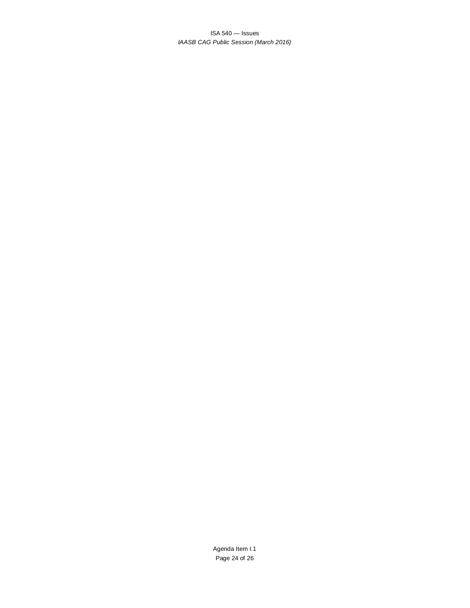> Agenda Item I.1 Page 24 of 26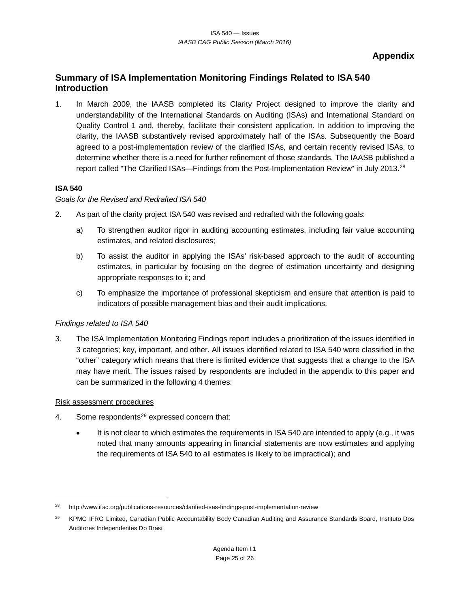**Appendix** 

# **Summary of ISA Implementation Monitoring Findings Related to ISA 540 Introduction**

1. In March 2009, the IAASB completed its Clarity Project designed to improve the clarity and understandability of the International Standards on Auditing (ISAs) and International Standard on Quality Control 1 and, thereby, facilitate their consistent application. In addition to improving the clarity, the IAASB substantively revised approximately half of the ISAs. Subsequently the Board agreed to a post-implementation review of the clarified ISAs, and certain recently revised ISAs, to determine whether there is a need for further refinement of those standards. The IAASB published a report called "The Clarified ISAs—Findings from the Post-Implementation Review" in July 2013.<sup>[28](#page-24-0)</sup>

# **ISA 540**

# *Goals for the Revised and Redrafted ISA 540*

- 2. As part of the clarity project ISA 540 was revised and redrafted with the following goals:
	- a) To strengthen auditor rigor in auditing accounting estimates, including fair value accounting estimates, and related disclosures;
	- b) To assist the auditor in applying the ISAs' risk-based approach to the audit of accounting estimates, in particular by focusing on the degree of estimation uncertainty and designing appropriate responses to it; and
	- c) To emphasize the importance of professional skepticism and ensure that attention is paid to indicators of possible management bias and their audit implications.

# *Findings related to ISA 540*

3. The ISA Implementation Monitoring Findings report includes a prioritization of the issues identified in 3 categories; key, important, and other. All issues identified related to ISA 540 were classified in the "other" category which means that there is limited evidence that suggests that a change to the ISA may have merit. The issues raised by respondents are included in the appendix to this paper and can be summarized in the following 4 themes:

## Risk assessment procedures

- 4. Some respondents<sup>[29](#page-24-1)</sup> expressed concern that:
	- It is not clear to which estimates the requirements in ISA 540 are intended to apply (e.g., it was noted that many amounts appearing in financial statements are now estimates and applying the requirements of ISA 540 to all estimates is likely to be impractical); and

<span id="page-24-0"></span><sup>&</sup>lt;sup>28</sup> <http://www.ifac.org/publications-resources/clarified-isas-findings-post-implementation-review>

<span id="page-24-1"></span><sup>&</sup>lt;sup>29</sup> KPMG IFRG Limited, Canadian Public Accountability Body Canadian Auditing and Assurance Standards Board, Instituto Dos Auditores Independentes Do Brasil